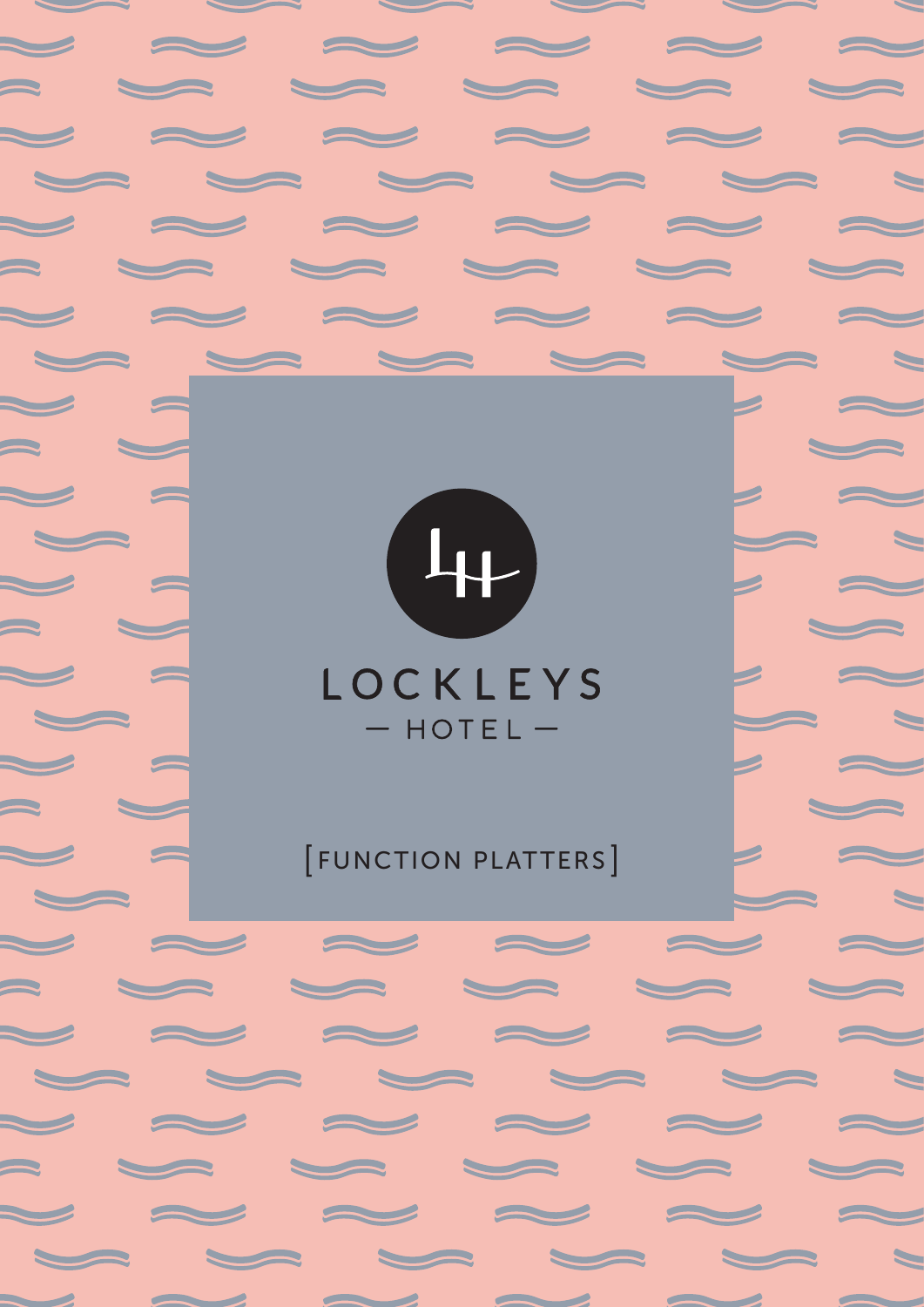

a de la de la de la c

 $\sim$   $\sim$   $\sim$   $\sim$   $\sim$ 

 $\sim$   $\sim$   $\sim$   $\sim$   $\sim$ 

 $\sim$   $\sim$   $\sim$   $\sim$   $\sim$ 

 $\sim$   $\sim$   $\sim$   $\sim$   $\sim$ 

 $\begin{picture}(20,20) \put(0,0){\line(1,0){10}} \put(15,0){\line(1,0){10}} \put(15,0){\line(1,0){10}} \put(15,0){\line(1,0){10}} \put(15,0){\line(1,0){10}} \put(15,0){\line(1,0){10}} \put(15,0){\line(1,0){10}} \put(15,0){\line(1,0){10}} \put(15,0){\line(1,0){10}} \put(15,0){\line(1,0){10}} \put(15,0){\line(1,0){10}} \put(15,0){\line(1$ 

 $\approx$ 

 $\sim$ 

 $\blacktriangleright$ 

 $\sim$ 

 $\sum$ 

 $\sum_{i=1}^{n}$ 

 $\sim$ 

 $\sim$ 

---

 $\blacktriangleright$ 

 $\sim$ 

 $\begin{picture}(20,20) \put(0,0){\line(1,0){10}} \put(15,0){\line(1,0){10}} \put(15,0){\line(1,0){10}} \put(15,0){\line(1,0){10}} \put(15,0){\line(1,0){10}} \put(15,0){\line(1,0){10}} \put(15,0){\line(1,0){10}} \put(15,0){\line(1,0){10}} \put(15,0){\line(1,0){10}} \put(15,0){\line(1,0){10}} \put(15,0){\line(1,0){10}} \put(15,0){\line(1$ 

 $\vert z \vert \sim$ 

 $\overline{\phantom{a}}$ 

 $\overline{\phantom{a}}$   $\overline{\phantom{a}}$ 

 $\overline{\phantom{0}}$ 

**Participate** 

 $\sum$ 

 $\blacksquare$ 

 $\sim$ 

 $\blacksquare$ 

 $\blacksquare$ 

 $\blacksquare$ 

 $\blacktriangleright$ 

 $\blacktriangleright$ 

 $\overline{\phantom{0}}$ 

 $\overline{\phantom{0}}$ 

 $\blacktriangleright$ 

 $\overline{\phantom{a}}$ 

 $\blacksquare$ 

## LOCKLEYS  $-$  HOTEL  $-$

### **FUNCTION PLATTERS**

 $\sim$   $\sim$   $\sim$   $\sim$   $\sim$ 

 $\sim$   $\sim$   $\sim$   $\sim$   $\sim$ 

and a comment of the second comment of the second comment of the second comment of the second comment of the second comment of the second comment of the second comment of the second comment of the second comment of the sec

 $\sim$ 

 $\sim$ 

 $\sim$   $\sim$   $\sim$   $\sim$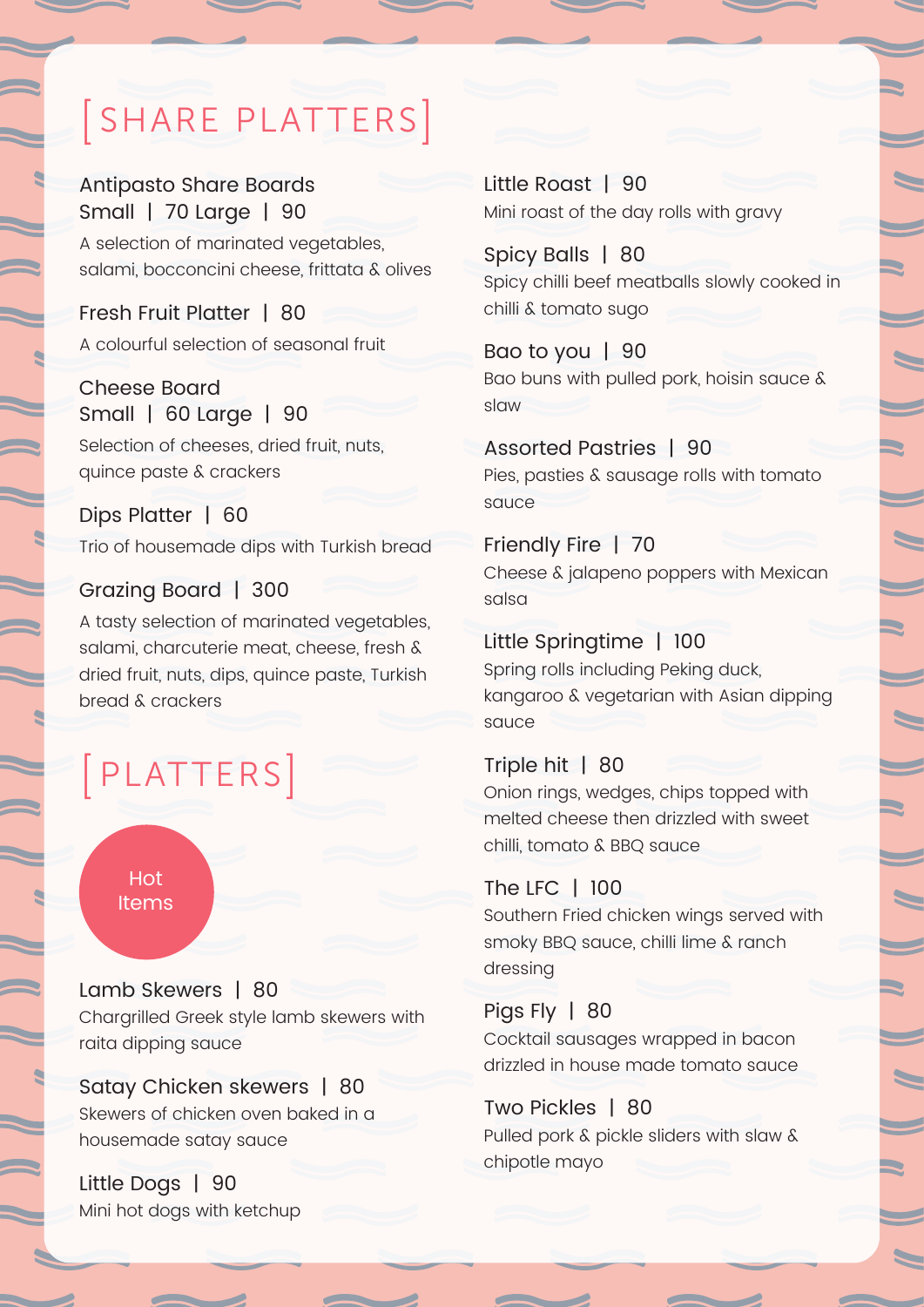# [ SHARE PLATTERS]

Antipasto Share Boards Small | 70 Large | 90 A selection of marinated vegetables, salami, bocconcini cheese, frittata & olives

Fresh Fruit Platter | 80 A colourful selection of seasonal fruit

Cheese Board Small | 60 Large | 90 Selection of cheeses, dried fruit, nuts, quince paste & crackers

Dips Platter | 60 Trio of housemade dips with Turkish bread

#### Grazing Board | 300

A tasty selection of marinated vegetables, salami, charcuterie meat, cheese, fresh & dried fruit, nuts, dips, quince paste, Turkish bread & crackers

## [ PLATTERS]



Lamb Skewers | 80 Chargrilled Greek style lamb skewers with raita dipping sauce

Satay Chicken skewers | 80 Skewers of chicken oven baked in a housemade satay sauce

Little Dogs | 90 Mini hot dogs with ketchup Little Roast | 90 Mini roast of the day rolls with gravy

Spicy Balls | 80 Spicy chilli beef meatballs slowly cooked in chilli & tomato sugo

Bao to you | 90 Bao buns with pulled pork, hoisin sauce & slaw

Assorted Pastries | 90 Pies, pasties & sausage rolls with tomato sauce

Friendly Fire | 70 Cheese & jalapeno poppers with Mexican salsa

Little Springtime | 100 Spring rolls including Peking duck, kangaroo & vegetarian with Asian dipping sauce

Triple hit | 80 Onion rings, wedges, chips topped with melted cheese then drizzled with sweet chilli, tomato & BBQ sauce

#### The LFC | 100

Southern Fried chicken wings served with smoky BBQ sauce, chilli lime & ranch dressing

Pigs Fly | 80 Cocktail sausages wrapped in bacon drizzled in house made tomato sauce

#### Two Pickles | 80

Pulled pork & pickle sliders with slaw & chipotle mayo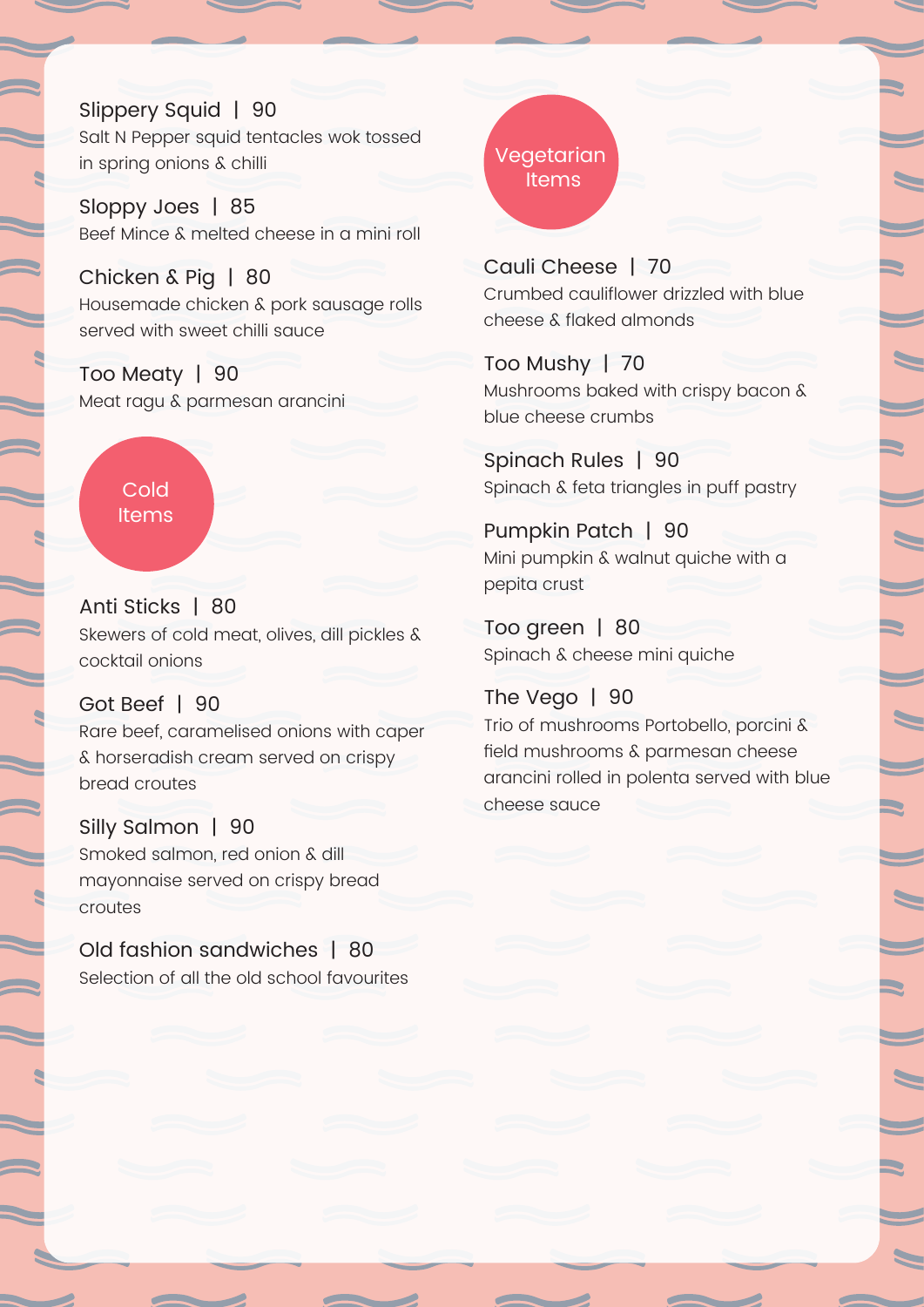Slippery Squid | 90 Salt N Pepper squid tentacles wok tossed in spring onions & chilli

Sloppy Joes | 85 Beef Mince & melted cheese in a mini roll

Chicken & Pig | 80 Housemade chicken & pork sausage rolls served with sweet chilli sauce

Too Meaty | 90 Meat ragu & parmesan arancini

> **Cold Items**

Anti Sticks | 80 Skewers of cold meat, olives, dill pickles & cocktail onions

#### Got Beef | 90

Rare beef, caramelised onions with caper & horseradish cream served on crispy bread croutes

Silly Salmon | 90 Smoked salmon, red onion & dill mayonnaise served on crispy bread croutes

Old fashion sandwiches | 80 Selection of all the old school favourites Vegetarian **Items** 

Cauli Cheese | 70 Crumbed cauliflower drizzled with blue cheese & flaked almonds

Too Mushy | 70 Mushrooms baked with crispy bacon & blue cheese crumbs

Spinach Rules | 90 Spinach & feta triangles in puff pastry

Pumpkin Patch | 90 Mini pumpkin & walnut quiche with a pepita crust

Too green | 80 Spinach & cheese mini quiche

The Vego | 90 Trio of mushrooms Portobello, porcini & field mushrooms & parmesan cheese arancini rolled in polenta served with blue cheese sauce